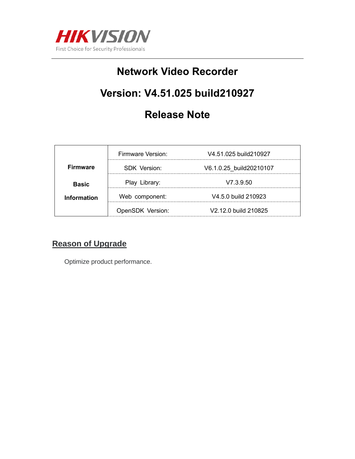

## **Network Video Recorder**

# **Version: V4.51.025 build210927**

## **Release Note**

|                 | Firmware Version: | V4.51.025 build 210927  |
|-----------------|-------------------|-------------------------|
| <b>Firmware</b> | SDK Version:      | V6.1.0.25 build20210107 |
| <b>Basic</b>    | Play Library:     | V7.3.9.50               |
| Information     | Web component:    | V4.5.0 build 210923     |
|                 | OpenSDK Version:  | V2.12.0 build 210825    |

### **Reason of Upgrade**

Optimize product performance.